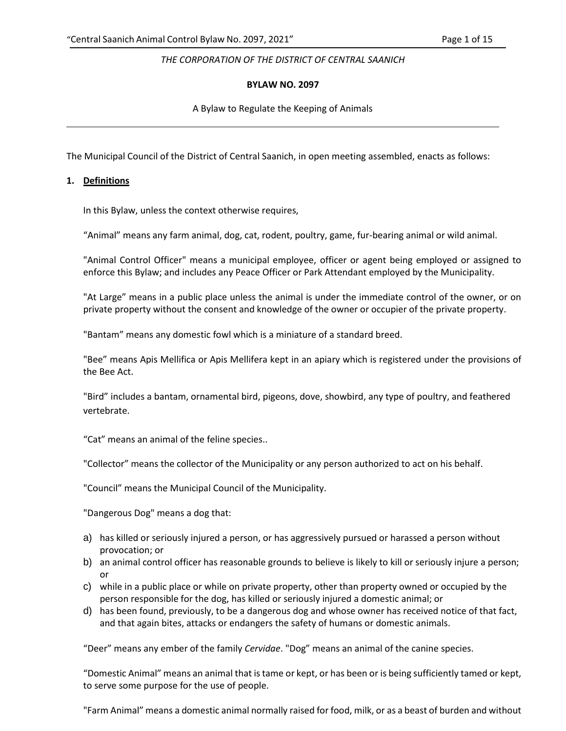## *THE CORPORATION OF THE DISTRICT OF CENTRAL SAANICH*

## **BYLAW NO. 2097**

A Bylaw to Regulate the Keeping of Animals

The Municipal Council of the District of Central Saanich, in open meeting assembled, enacts as follows:

## **1. Definitions**

In this Bylaw, unless the context otherwise requires,

"Animal" means any farm animal, dog, cat, rodent, poultry, game, fur-bearing animal or wild animal.

"Animal Control Officer" means a municipal employee, officer or agent being employed or assigned to enforce this Bylaw; and includes any Peace Officer or Park Attendant employed by the Municipality.

"At Large" means in a public place unless the animal is under the immediate control of the owner, or on private property without the consent and knowledge of the owner or occupier of the private property.

"Bantam" means any domestic fowl which is a miniature of a standard breed.

"Bee" means Apis Mellifica or Apis Mellifera kept in an apiary which is registered under the provisions of the Bee Act.

"Bird" includes a bantam, ornamental bird, pigeons, dove, showbird, any type of poultry, and feathered vertebrate.

"Cat" means an animal of the feline species..

"Collector" means the collector of the Municipality or any person authorized to act on his behalf.

"Council" means the Municipal Council of the Municipality.

"Dangerous Dog" means a dog that:

- a) has killed or seriously injured a person, or has aggressively pursued or harassed a person without provocation; or
- b) an animal control officer has reasonable grounds to believe is likely to kill or seriously injure a person; or
- c) while in a public place or while on private property, other than property owned or occupied by the person responsible for the dog, has killed or seriously injured a domestic animal; or
- d) has been found, previously, to be a dangerous dog and whose owner has received notice of that fact, and that again bites, attacks or endangers the safety of humans or domestic animals.

"Deer" means any ember of the family *Cervidae*. "Dog" means an animal of the canine species.

"Domestic Animal" means an animal that is tame or kept, or has been or is being sufficiently tamed or kept, to serve some purpose for the use of people.

"Farm Animal" means a domestic animal normally raised for food, milk, or as a beast of burden and without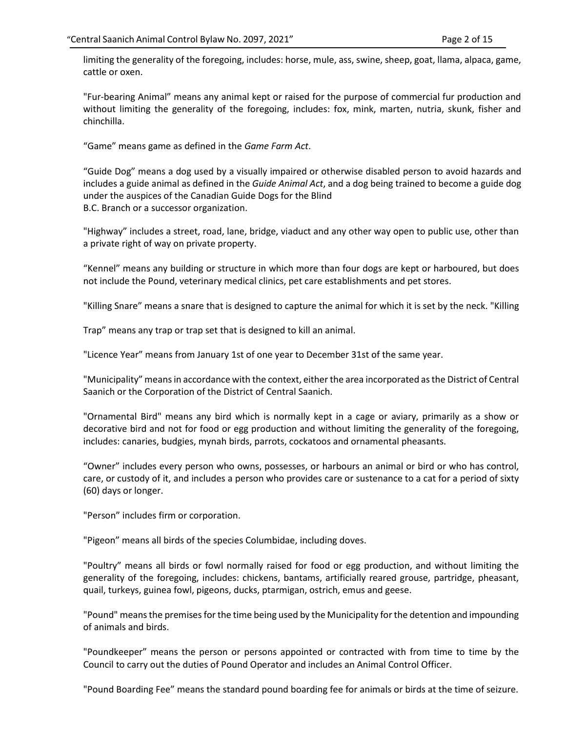limiting the generality of the foregoing, includes: horse, mule, ass, swine, sheep, goat, llama, alpaca, game, cattle or oxen.

"Fur-bearing Animal" means any animal kept or raised for the purpose of commercial fur production and without limiting the generality of the foregoing, includes: fox, mink, marten, nutria, skunk, fisher and chinchilla.

"Game" means game as defined in the *Game Farm Act*.

"Guide Dog" means a dog used by a visually impaired or otherwise disabled person to avoid hazards and includes a guide animal as defined in the *Guide Animal Act*, and a dog being trained to become a guide dog under the auspices of the Canadian Guide Dogs for the Blind B.C. Branch or a successor organization.

"Highway" includes a street, road, lane, bridge, viaduct and any other way open to public use, other than a private right of way on private property.

"Kennel" means any building or structure in which more than four dogs are kept or harboured, but does not include the Pound, veterinary medical clinics, pet care establishments and pet stores.

"Killing Snare" means a snare that is designed to capture the animal for which it is set by the neck. "Killing

Trap" means any trap or trap set that is designed to kill an animal.

"Licence Year" means from January 1st of one year to December 31st of the same year.

"Municipality" means in accordance with the context, either the area incorporated as the District of Central Saanich or the Corporation of the District of Central Saanich.

"Ornamental Bird" means any bird which is normally kept in a cage or aviary, primarily as a show or decorative bird and not for food or egg production and without limiting the generality of the foregoing, includes: canaries, budgies, mynah birds, parrots, cockatoos and ornamental pheasants.

"Owner" includes every person who owns, possesses, or harbours an animal or bird or who has control, care, or custody of it, and includes a person who provides care or sustenance to a cat for a period of sixty (60) days or longer.

"Person" includes firm or corporation.

"Pigeon" means all birds of the species Columbidae, including doves.

"Poultry" means all birds or fowl normally raised for food or egg production, and without limiting the generality of the foregoing, includes: chickens, bantams, artificially reared grouse, partridge, pheasant, quail, turkeys, guinea fowl, pigeons, ducks, ptarmigan, ostrich, emus and geese.

"Pound" means the premises for the time being used by the Municipality for the detention and impounding of animals and birds.

"Poundkeeper" means the person or persons appointed or contracted with from time to time by the Council to carry out the duties of Pound Operator and includes an Animal Control Officer.

"Pound Boarding Fee" means the standard pound boarding fee for animals or birds at the time of seizure.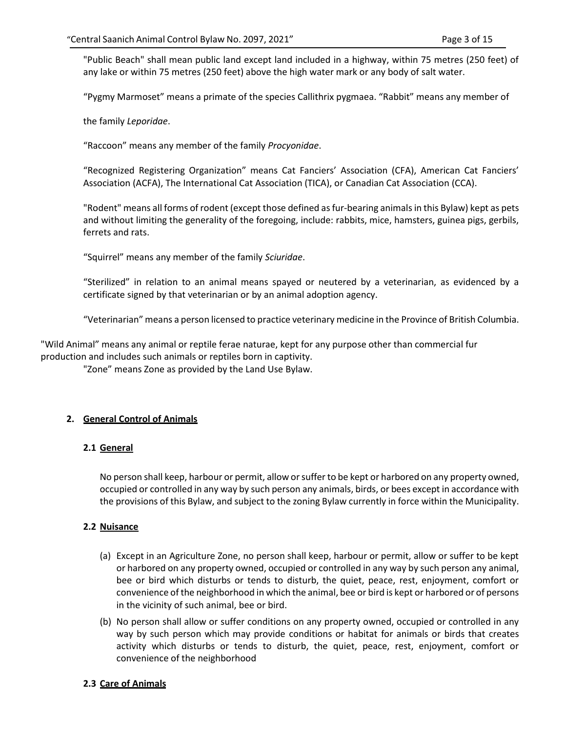"Public Beach" shall mean public land except land included in a highway, within 75 metres (250 feet) of any lake or within 75 metres (250 feet) above the high water mark or any body of salt water.

"Pygmy Marmoset" means a primate of the species Callithrix pygmaea. "Rabbit" means any member of

the family *Leporidae*.

"Raccoon" means any member of the family *Procyonidae*.

"Recognized Registering Organization" means Cat Fanciers' Association (CFA), American Cat Fanciers' Association (ACFA), The International Cat Association (TICA), or Canadian Cat Association (CCA).

"Rodent" means all forms of rodent (except those defined as fur-bearing animals in this Bylaw) kept as pets and without limiting the generality of the foregoing, include: rabbits, mice, hamsters, guinea pigs, gerbils, ferrets and rats.

"Squirrel" means any member of the family *Sciuridae*.

"Sterilized" in relation to an animal means spayed or neutered by a veterinarian, as evidenced by a certificate signed by that veterinarian or by an animal adoption agency.

"Veterinarian" means a person licensed to practice veterinary medicine in the Province of British Columbia.

"Wild Animal" means any animal or reptile ferae naturae, kept for any purpose other than commercial fur production and includes such animals or reptiles born in captivity.

"Zone" means Zone as provided by the Land Use Bylaw.

# **2. General Control of Animals**

## **2.1 General**

No person shall keep, harbour or permit, allow or suffer to be kept or harbored on any property owned, occupied or controlled in any way by such person any animals, birds, or bees except in accordance with the provisions of this Bylaw, and subject to the zoning Bylaw currently in force within the Municipality.

## **2.2 Nuisance**

- (a) Except in an Agriculture Zone, no person shall keep, harbour or permit, allow or suffer to be kept or harbored on any property owned, occupied or controlled in any way by such person any animal, bee or bird which disturbs or tends to disturb, the quiet, peace, rest, enjoyment, comfort or convenience of the neighborhood in which the animal, bee or bird is kept or harbored or of persons in the vicinity of such animal, bee or bird.
- (b) No person shall allow or suffer conditions on any property owned, occupied or controlled in any way by such person which may provide conditions or habitat for animals or birds that creates activity which disturbs or tends to disturb, the quiet, peace, rest, enjoyment, comfort or convenience of the neighborhood

## **2.3 Care of Animals**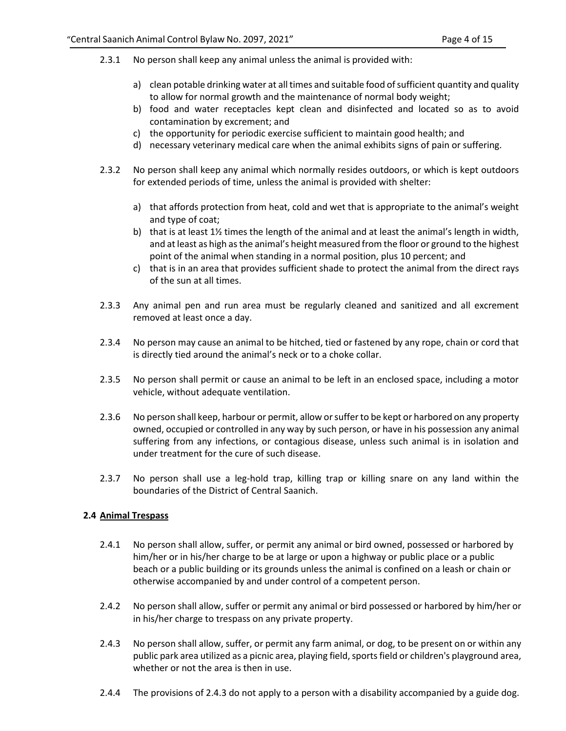- 2.3.1 No person shall keep any animal unless the animal is provided with:
	- a) clean potable drinking water at all times and suitable food of sufficient quantity and quality to allow for normal growth and the maintenance of normal body weight;
	- b) food and water receptacles kept clean and disinfected and located so as to avoid contamination by excrement; and
	- c) the opportunity for periodic exercise sufficient to maintain good health; and
	- d) necessary veterinary medical care when the animal exhibits signs of pain or suffering.
- 2.3.2 No person shall keep any animal which normally resides outdoors, or which is kept outdoors for extended periods of time, unless the animal is provided with shelter:
	- a) that affords protection from heat, cold and wet that is appropriate to the animal's weight and type of coat;
	- b) that is at least 1½ times the length of the animal and at least the animal's length in width, and at least as high as the animal's height measured from the floor or ground to the highest point of the animal when standing in a normal position, plus 10 percent; and
	- c) that is in an area that provides sufficient shade to protect the animal from the direct rays of the sun at all times.
- 2.3.3 Any animal pen and run area must be regularly cleaned and sanitized and all excrement removed at least once a day.
- 2.3.4 No person may cause an animal to be hitched, tied or fastened by any rope, chain or cord that is directly tied around the animal's neck or to a choke collar.
- 2.3.5 No person shall permit or cause an animal to be left in an enclosed space, including a motor vehicle, without adequate ventilation.
- 2.3.6 No person shall keep, harbour or permit, allow or suffer to be kept or harbored on any property owned, occupied or controlled in any way by such person, or have in his possession any animal suffering from any infections, or contagious disease, unless such animal is in isolation and under treatment for the cure of such disease.
- 2.3.7 No person shall use a leg-hold trap, killing trap or killing snare on any land within the boundaries of the District of Central Saanich.

# **2.4 Animal Trespass**

- 2.4.1 No person shall allow, suffer, or permit any animal or bird owned, possessed or harbored by him/her or in his/her charge to be at large or upon a highway or public place or a public beach or a public building or its grounds unless the animal is confined on a leash or chain or otherwise accompanied by and under control of a competent person.
- 2.4.2 No person shall allow, suffer or permit any animal or bird possessed or harbored by him/her or in his/her charge to trespass on any private property.
- 2.4.3 No person shall allow, suffer, or permit any farm animal, or dog, to be present on or within any public park area utilized as a picnic area, playing field, sports field or children's playground area, whether or not the area is then in use.
- 2.4.4 The provisions of 2.4.3 do not apply to a person with a disability accompanied by a guide dog.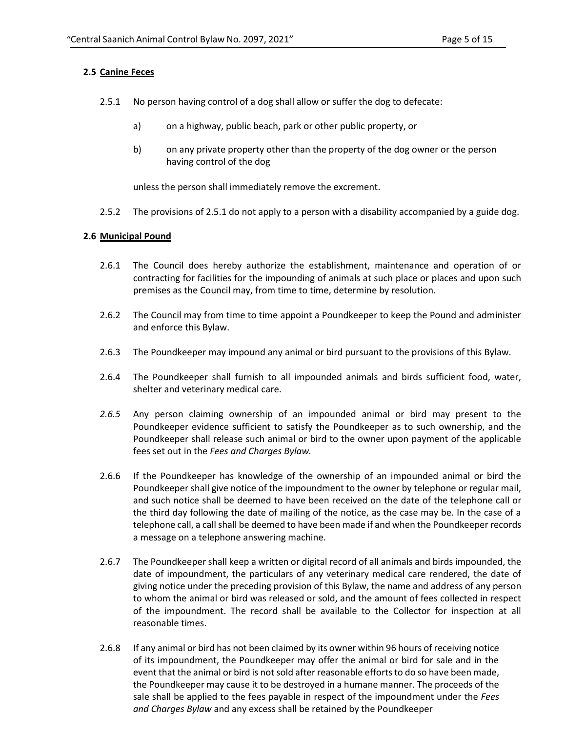## **2.5 Canine Feces**

- 2.5.1 No person having control of a dog shall allow or suffer the dog to defecate:
	- a) on a highway, public beach, park or other public property, or
	- b) on any private property other than the property of the dog owner or the person having control of the dog

unless the person shall immediately remove the excrement.

2.5.2 The provisions of 2.5.1 do not apply to a person with a disability accompanied by a guide dog.

## **2.6 Municipal Pound**

- 2.6.1 The Council does hereby authorize the establishment, maintenance and operation of or contracting for facilities for the impounding of animals at such place or places and upon such premises as the Council may, from time to time, determine by resolution.
- 2.6.2 The Council may from time to time appoint a Poundkeeper to keep the Pound and administer and enforce this Bylaw.
- 2.6.3 The Poundkeeper may impound any animal or bird pursuant to the provisions of this Bylaw.
- 2.6.4 The Poundkeeper shall furnish to all impounded animals and birds sufficient food, water, shelter and veterinary medical care.
- *2.6.5* Any person claiming ownership of an impounded animal or bird may present to the Poundkeeper evidence sufficient to satisfy the Poundkeeper as to such ownership, and the Poundkeeper shall release such animal or bird to the owner upon payment of the applicable fees set out in the *Fees and Charges Bylaw.*
- 2.6.6 If the Poundkeeper has knowledge of the ownership of an impounded animal or bird the Poundkeeper shall give notice of the impoundment to the owner by telephone or regular mail, and such notice shall be deemed to have been received on the date of the telephone call or the third day following the date of mailing of the notice, as the case may be. In the case of a telephone call, a call shall be deemed to have been made if and when the Poundkeeper records a message on a telephone answering machine.
- 2.6.7 The Poundkeeper shall keep a written or digital record of all animals and birds impounded, the date of impoundment, the particulars of any veterinary medical care rendered, the date of giving notice under the preceding provision of this Bylaw, the name and address of any person to whom the animal or bird was released or sold, and the amount of fees collected in respect of the impoundment. The record shall be available to the Collector for inspection at all reasonable times.
- 2.6.8 If any animal or bird has not been claimed by its owner within 96 hours of receiving notice of its impoundment, the Poundkeeper may offer the animal or bird for sale and in the event that the animal or bird is not sold after reasonable efforts to do so have been made, the Poundkeeper may cause it to be destroyed in a humane manner. The proceeds of the sale shall be applied to the fees payable in respect of the impoundment under the *Fees and Charges Bylaw* and any excess shall be retained by the Poundkeeper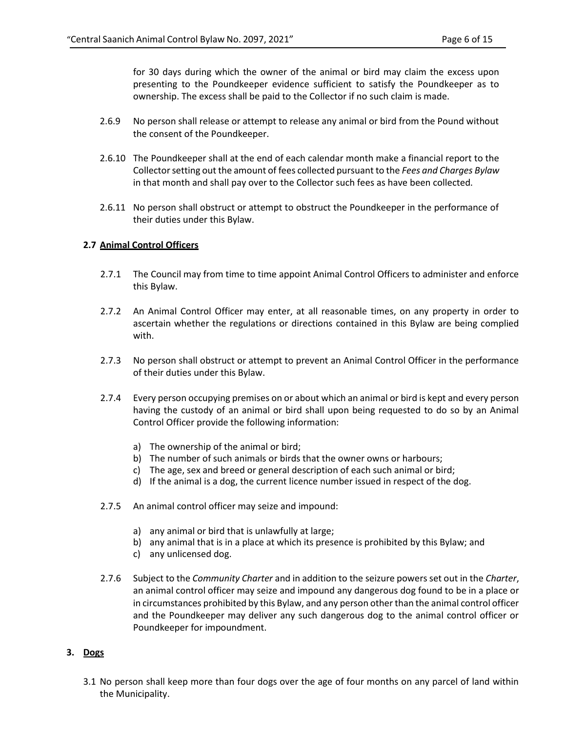for 30 days during which the owner of the animal or bird may claim the excess upon presenting to the Poundkeeper evidence sufficient to satisfy the Poundkeeper as to ownership. The excess shall be paid to the Collector if no such claim is made.

- 2.6.9 No person shall release or attempt to release any animal or bird from the Pound without the consent of the Poundkeeper.
- 2.6.10 The Poundkeeper shall at the end of each calendar month make a financial report to the Collector setting out the amount of fees collected pursuant to the *Fees and Charges Bylaw* in that month and shall pay over to the Collector such fees as have been collected.
- 2.6.11 No person shall obstruct or attempt to obstruct the Poundkeeper in the performance of their duties under this Bylaw.

#### **2.7 Animal Control Officers**

- 2.7.1 The Council may from time to time appoint Animal Control Officers to administer and enforce this Bylaw.
- 2.7.2 An Animal Control Officer may enter, at all reasonable times, on any property in order to ascertain whether the regulations or directions contained in this Bylaw are being complied with.
- 2.7.3 No person shall obstruct or attempt to prevent an Animal Control Officer in the performance of their duties under this Bylaw.
- 2.7.4 Every person occupying premises on or about which an animal or bird is kept and every person having the custody of an animal or bird shall upon being requested to do so by an Animal Control Officer provide the following information:
	- a) The ownership of the animal or bird;
	- b) The number of such animals or birds that the owner owns or harbours;
	- c) The age, sex and breed or general description of each such animal or bird;
	- d) If the animal is a dog, the current licence number issued in respect of the dog.
- 2.7.5 An animal control officer may seize and impound:
	- a) any animal or bird that is unlawfully at large;
	- b) any animal that is in a place at which its presence is prohibited by this Bylaw; and
	- c) any unlicensed dog.
- 2.7.6 Subject to the *Community Charter* and in addition to the seizure powers set out in the *Charter*, an animal control officer may seize and impound any dangerous dog found to be in a place or in circumstances prohibited by this Bylaw, and any person other than the animal control officer and the Poundkeeper may deliver any such dangerous dog to the animal control officer or Poundkeeper for impoundment.

## **3. Dogs**

3.1 No person shall keep more than four dogs over the age of four months on any parcel of land within the Municipality.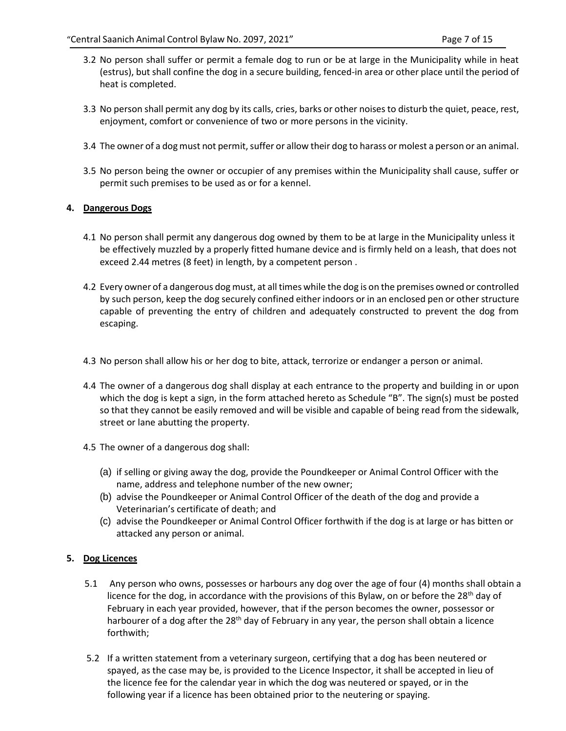- 3.2 No person shall suffer or permit a female dog to run or be at large in the Municipality while in heat (estrus), but shall confine the dog in a secure building, fenced-in area or other place until the period of heat is completed.
- 3.3 No person shall permit any dog by its calls, cries, barks or other noises to disturb the quiet, peace, rest, enjoyment, comfort or convenience of two or more persons in the vicinity.
- 3.4 The owner of a dog must not permit, suffer or allow their dog to harass or molest a person or an animal.
- 3.5 No person being the owner or occupier of any premises within the Municipality shall cause, suffer or permit such premises to be used as or for a kennel.

# **4. Dangerous Dogs**

- 4.1 No person shall permit any dangerous dog owned by them to be at large in the Municipality unless it be effectively muzzled by a properly fitted humane device and is firmly held on a leash, that does not exceed 2.44 metres (8 feet) in length, by a competent person .
- 4.2 Every owner of a dangerous dog must, at all times while the dog is on the premises owned or controlled by such person, keep the dog securely confined either indoors or in an enclosed pen or other structure capable of preventing the entry of children and adequately constructed to prevent the dog from escaping.
- 4.3 No person shall allow his or her dog to bite, attack, terrorize or endanger a person or animal.
- 4.4 The owner of a dangerous dog shall display at each entrance to the property and building in or upon which the dog is kept a sign, in the form attached hereto as Schedule "B". The sign(s) must be posted so that they cannot be easily removed and will be visible and capable of being read from the sidewalk, street or lane abutting the property.
- 4.5 The owner of a dangerous dog shall:
	- (a) if selling or giving away the dog, provide the Poundkeeper or Animal Control Officer with the name, address and telephone number of the new owner;
	- (b) advise the Poundkeeper or Animal Control Officer of the death of the dog and provide a Veterinarian's certificate of death; and
	- (c) advise the Poundkeeper or Animal Control Officer forthwith if the dog is at large or has bitten or attacked any person or animal.

# **5. Dog Licences**

- 5.1 Any person who owns, possesses or harbours any dog over the age of four (4) months shall obtain a licence for the dog, in accordance with the provisions of this Bylaw, on or before the 28<sup>th</sup> day of February in each year provided, however, that if the person becomes the owner, possessor or harbourer of a dog after the  $28<sup>th</sup>$  day of February in any year, the person shall obtain a licence forthwith;
- 5.2 If a written statement from a veterinary surgeon, certifying that a dog has been neutered or spayed, as the case may be, is provided to the Licence Inspector, it shall be accepted in lieu of the licence fee for the calendar year in which the dog was neutered or spayed, or in the following year if a licence has been obtained prior to the neutering or spaying.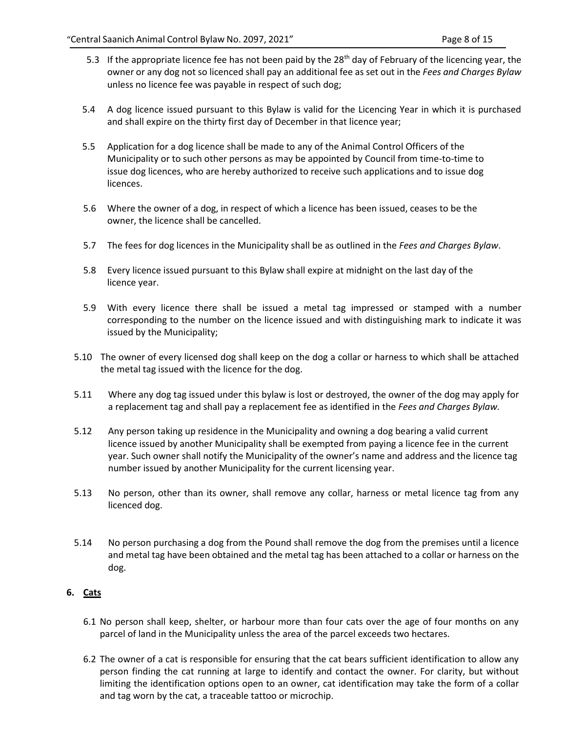- 5.3 If the appropriate licence fee has not been paid by the 28<sup>th</sup> day of February of the licencing year, the owner or any dog not so licenced shall pay an additional fee as set out in the *Fees and Charges Bylaw* unless no licence fee was payable in respect of such dog;
- 5.4 A dog licence issued pursuant to this Bylaw is valid for the Licencing Year in which it is purchased and shall expire on the thirty first day of December in that licence year;
- 5.5 Application for a dog licence shall be made to any of the Animal Control Officers of the Municipality or to such other persons as may be appointed by Council from time-to-time to issue dog licences, who are hereby authorized to receive such applications and to issue dog licences.
- 5.6 Where the owner of a dog, in respect of which a licence has been issued, ceases to be the owner, the licence shall be cancelled.
- 5.7 The fees for dog licences in the Municipality shall be as outlined in the *Fees and Charges Bylaw*.
- 5.8 Every licence issued pursuant to this Bylaw shall expire at midnight on the last day of the licence year.
- 5.9 With every licence there shall be issued a metal tag impressed or stamped with a number corresponding to the number on the licence issued and with distinguishing mark to indicate it was issued by the Municipality;
- 5.10 The owner of every licensed dog shall keep on the dog a collar or harness to which shall be attached the metal tag issued with the licence for the dog.
- 5.11 Where any dog tag issued under this bylaw is lost or destroyed, the owner of the dog may apply for a replacement tag and shall pay a replacement fee as identified in the *Fees and Charges Bylaw.*
- 5.12 Any person taking up residence in the Municipality and owning a dog bearing a valid current licence issued by another Municipality shall be exempted from paying a licence fee in the current year. Such owner shall notify the Municipality of the owner's name and address and the licence tag number issued by another Municipality for the current licensing year.
- 5.13 No person, other than its owner, shall remove any collar, harness or metal licence tag from any licenced dog.
- 5.14 No person purchasing a dog from the Pound shall remove the dog from the premises until a licence and metal tag have been obtained and the metal tag has been attached to a collar or harness on the dog.

# **6. Cats**

- 6.1 No person shall keep, shelter, or harbour more than four cats over the age of four months on any parcel of land in the Municipality unless the area of the parcel exceeds two hectares.
- 6.2 The owner of a cat is responsible for ensuring that the cat bears sufficient identification to allow any person finding the cat running at large to identify and contact the owner. For clarity, but without limiting the identification options open to an owner, cat identification may take the form of a collar and tag worn by the cat, a traceable tattoo or microchip.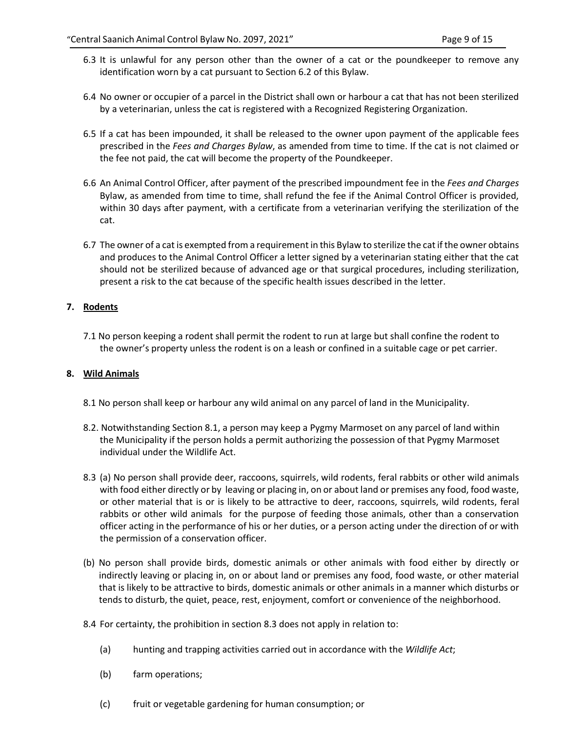- 6.3 It is unlawful for any person other than the owner of a cat or the poundkeeper to remove any identification worn by a cat pursuant to Section 6.2 of this Bylaw.
- 6.4 No owner or occupier of a parcel in the District shall own or harbour a cat that has not been sterilized by a veterinarian, unless the cat is registered with a Recognized Registering Organization.
- 6.5 If a cat has been impounded, it shall be released to the owner upon payment of the applicable fees prescribed in the *Fees and Charges Bylaw*, as amended from time to time. If the cat is not claimed or the fee not paid, the cat will become the property of the Poundkeeper.
- 6.6 An Animal Control Officer, after payment of the prescribed impoundment fee in the *Fees and Charges* Bylaw, as amended from time to time, shall refund the fee if the Animal Control Officer is provided, within 30 days after payment, with a certificate from a veterinarian verifying the sterilization of the cat.
- 6.7 The owner of a cat is exempted from a requirement in this Bylaw to sterilize the cat if the owner obtains and produces to the Animal Control Officer a letter signed by a veterinarian stating either that the cat should not be sterilized because of advanced age or that surgical procedures, including sterilization, present a risk to the cat because of the specific health issues described in the letter.

# **7. Rodents**

7.1 No person keeping a rodent shall permit the rodent to run at large but shall confine the rodent to the owner's property unless the rodent is on a leash or confined in a suitable cage or pet carrier.

# **8. Wild Animals**

- 8.1 No person shall keep or harbour any wild animal on any parcel of land in the Municipality.
- 8.2. Notwithstanding Section 8.1, a person may keep a Pygmy Marmoset on any parcel of land within the Municipality if the person holds a permit authorizing the possession of that Pygmy Marmoset individual under the Wildlife Act.
- 8.3 (a) No person shall provide deer, raccoons, squirrels, wild rodents, feral rabbits or other wild animals with food either directly or by leaving or placing in, on or about land or premises any food, food waste, or other material that is or is likely to be attractive to deer, raccoons, squirrels, wild rodents, feral rabbits or other wild animals for the purpose of feeding those animals, other than a conservation officer acting in the performance of his or her duties, or a person acting under the direction of or with the permission of a conservation officer.
- (b) No person shall provide birds, domestic animals or other animals with food either by directly or indirectly leaving or placing in, on or about land or premises any food, food waste, or other material that is likely to be attractive to birds, domestic animals or other animals in a manner which disturbs or tends to disturb, the quiet, peace, rest, enjoyment, comfort or convenience of the neighborhood.
- 8.4 For certainty, the prohibition in section 8.3 does not apply in relation to:
	- (a) hunting and trapping activities carried out in accordance with the *Wildlife Act*;
	- (b) farm operations;
	- (c) fruit or vegetable gardening for human consumption; or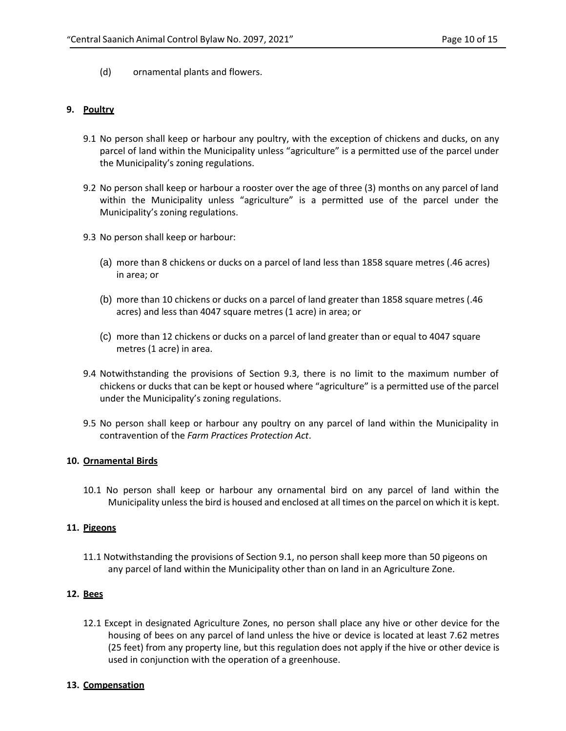(d) ornamental plants and flowers.

# **9. Poultry**

- 9.1 No person shall keep or harbour any poultry, with the exception of chickens and ducks, on any parcel of land within the Municipality unless "agriculture" is a permitted use of the parcel under the Municipality's zoning regulations.
- 9.2 No person shall keep or harbour a rooster over the age of three (3) months on any parcel of land within the Municipality unless "agriculture" is a permitted use of the parcel under the Municipality's zoning regulations.
- 9.3 No person shall keep or harbour:
	- (a) more than 8 chickens or ducks on a parcel of land less than 1858 square metres (.46 acres) in area; or
	- (b) more than 10 chickens or ducks on a parcel of land greater than 1858 square metres (.46 acres) and less than 4047 square metres (1 acre) in area; or
	- (c) more than 12 chickens or ducks on a parcel of land greater than or equal to 4047 square metres (1 acre) in area.
- 9.4 Notwithstanding the provisions of Section 9.3, there is no limit to the maximum number of chickens or ducks that can be kept or housed where "agriculture" is a permitted use of the parcel under the Municipality's zoning regulations.
- 9.5 No person shall keep or harbour any poultry on any parcel of land within the Municipality in contravention of the *Farm Practices Protection Act*.

## **10. Ornamental Birds**

10.1 No person shall keep or harbour any ornamental bird on any parcel of land within the Municipality unless the bird is housed and enclosed at all times on the parcel on which it is kept.

# **11. Pigeons**

11.1 Notwithstanding the provisions of Section 9.1, no person shall keep more than 50 pigeons on any parcel of land within the Municipality other than on land in an Agriculture Zone.

# **12. Bees**

12.1 Except in designated Agriculture Zones, no person shall place any hive or other device for the housing of bees on any parcel of land unless the hive or device is located at least 7.62 metres (25 feet) from any property line, but this regulation does not apply if the hive or other device is used in conjunction with the operation of a greenhouse.

# **13. Compensation**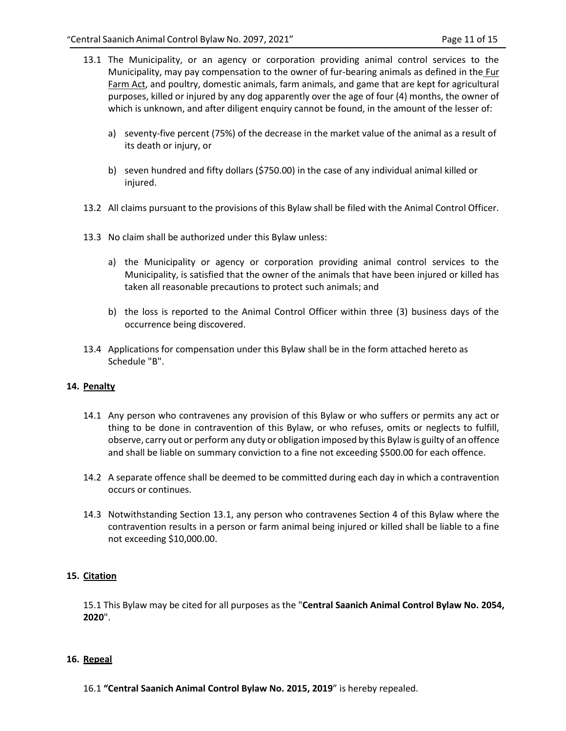- 13.1 The Municipality, or an agency or corporation providing animal control services to the Municipality, may pay compensation to the owner of fur-bearing animals as defined in the Fur Farm Act, and poultry, domestic animals, farm animals, and game that are kept for agricultural purposes, killed or injured by any dog apparently over the age of four (4) months, the owner of which is unknown, and after diligent enquiry cannot be found, in the amount of the lesser of:
	- a) seventy-five percent (75%) of the decrease in the market value of the animal as a result of its death or injury, or
	- b) seven hundred and fifty dollars (\$750.00) in the case of any individual animal killed or injured.
- 13.2 All claims pursuant to the provisions of this Bylaw shall be filed with the Animal Control Officer.
- 13.3 No claim shall be authorized under this Bylaw unless:
	- a) the Municipality or agency or corporation providing animal control services to the Municipality, is satisfied that the owner of the animals that have been injured or killed has taken all reasonable precautions to protect such animals; and
	- b) the loss is reported to the Animal Control Officer within three (3) business days of the occurrence being discovered.
- 13.4 Applications for compensation under this Bylaw shall be in the form attached hereto as Schedule "B".

## **14. Penalty**

- 14.1 Any person who contravenes any provision of this Bylaw or who suffers or permits any act or thing to be done in contravention of this Bylaw, or who refuses, omits or neglects to fulfill, observe, carry out or perform any duty or obligation imposed by this Bylaw is guilty of an offence and shall be liable on summary conviction to a fine not exceeding \$500.00 for each offence.
- 14.2 A separate offence shall be deemed to be committed during each day in which a contravention occurs or continues.
- 14.3 Notwithstanding Section 13.1, any person who contravenes Section 4 of this Bylaw where the contravention results in a person or farm animal being injured or killed shall be liable to a fine not exceeding \$10,000.00.

# **15. Citation**

15.1 This Bylaw may be cited for all purposes as the "**Central Saanich Animal Control Bylaw No. 2054, 2020**".

## **16. Repeal**

16.1 **"Central Saanich Animal Control Bylaw No. 2015, 2019**" is hereby repealed.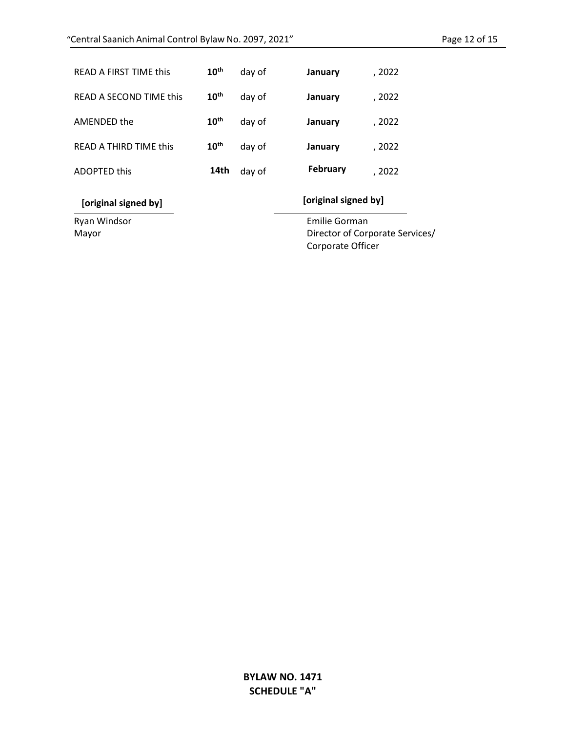| READ A FIRST TIME this        | $10^{\text{th}}$ | day of | January  | , 2022 |
|-------------------------------|------------------|--------|----------|--------|
| READ A SECOND TIME this       | $10^{\text{th}}$ | day of | January  | , 2022 |
| AMENDED the                   | 10 <sup>th</sup> | day of | January  | , 2022 |
| <b>READ A THIRD TIME this</b> | 10 <sup>th</sup> | day of | January  | , 2022 |
| <b>ADOPTED this</b>           | 14th             | day of | February | , 2022 |

**[original signed by] [original signed by]**

Ryan Windsor Emilie Gorman

Mayor **Director of Corporate Services**/ Corporate Officer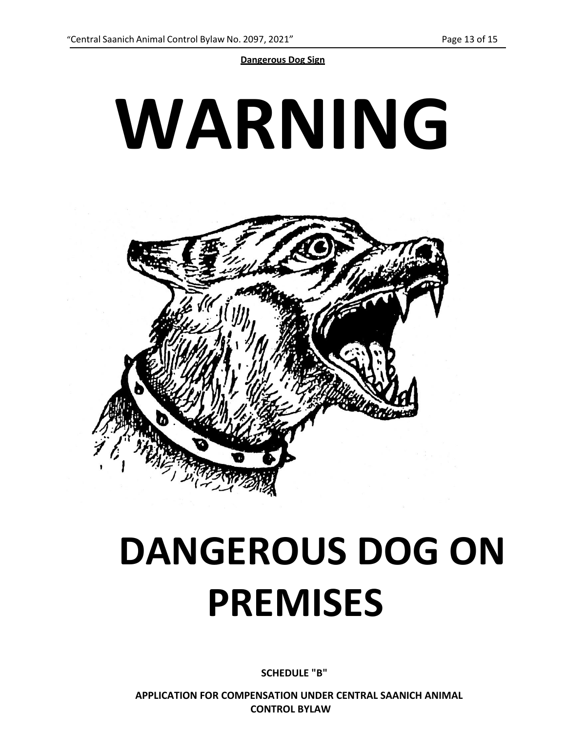**Dangerous Dog Sign**



# **DANGEROUS DOG ON PREMISES**

**SCHEDULE "B"**

**APPLICATION FOR COMPENSATION UNDER CENTRAL SAANICH ANIMAL CONTROL BYLAW**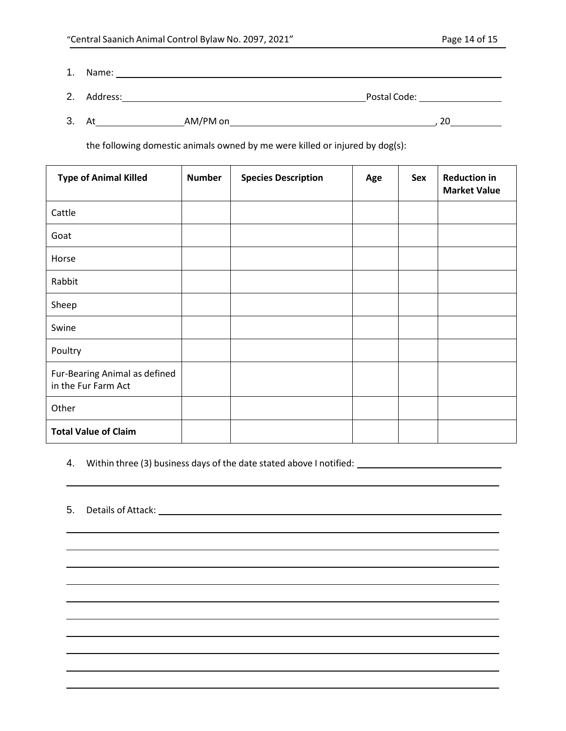1. Name:

- 2. Address: 2. Address: 2. Address: 2. Address: 2. Postal Code: 2. Postal Code: 2. Postal Code: 2. Postal Code:
- 3. At AM/PM on , 20

the following domestic animals owned by me were killed or injured by dog(s):

| <b>Type of Animal Killed</b>                         | <b>Number</b> | <b>Species Description</b> | Age | Sex | <b>Reduction in</b><br><b>Market Value</b> |
|------------------------------------------------------|---------------|----------------------------|-----|-----|--------------------------------------------|
| Cattle                                               |               |                            |     |     |                                            |
| Goat                                                 |               |                            |     |     |                                            |
| Horse                                                |               |                            |     |     |                                            |
| Rabbit                                               |               |                            |     |     |                                            |
| Sheep                                                |               |                            |     |     |                                            |
| Swine                                                |               |                            |     |     |                                            |
| Poultry                                              |               |                            |     |     |                                            |
| Fur-Bearing Animal as defined<br>in the Fur Farm Act |               |                            |     |     |                                            |
| Other                                                |               |                            |     |     |                                            |
| <b>Total Value of Claim</b>                          |               |                            |     |     |                                            |

4. Within three (3) business days of the date stated above I notified:

5. Details of Attack: